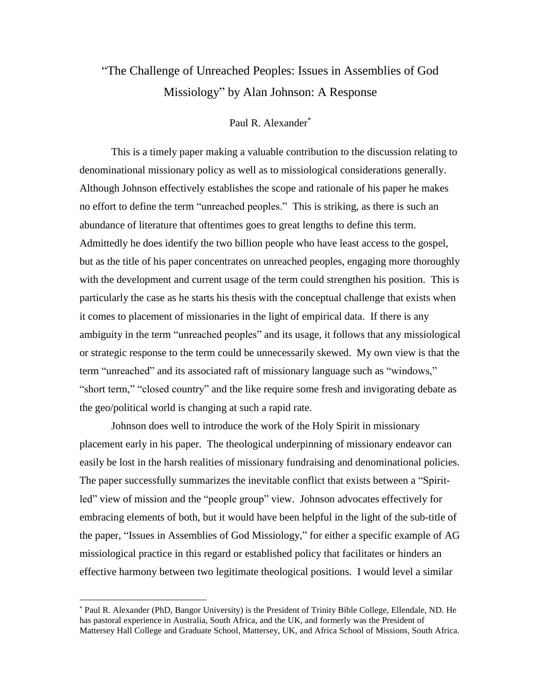## "The Challenge of Unreached Peoples: Issues in Assemblies of God Missiology" by Alan Johnson: A Response

## Paul R. Alexander\*

This is a timely paper making a valuable contribution to the discussion relating to denominational missionary policy as well as to missiological considerations generally. Although Johnson effectively establishes the scope and rationale of his paper he makes no effort to define the term "unreached peoples." This is striking, as there is such an abundance of literature that oftentimes goes to great lengths to define this term. Admittedly he does identify the two billion people who have least access to the gospel, but as the title of his paper concentrates on unreached peoples, engaging more thoroughly with the development and current usage of the term could strengthen his position. This is particularly the case as he starts his thesis with the conceptual challenge that exists when it comes to placement of missionaries in the light of empirical data. If there is any ambiguity in the term "unreached peoples" and its usage, it follows that any missiological or strategic response to the term could be unnecessarily skewed. My own view is that the term "unreached" and its associated raft of missionary language such as "windows," "short term," "closed country" and the like require some fresh and invigorating debate as the geo/political world is changing at such a rapid rate.

Johnson does well to introduce the work of the Holy Spirit in missionary placement early in his paper. The theological underpinning of missionary endeavor can easily be lost in the harsh realities of missionary fundraising and denominational policies. The paper successfully summarizes the inevitable conflict that exists between a "Spiritled" view of mission and the "people group" view. Johnson advocates effectively for embracing elements of both, but it would have been helpful in the light of the sub-title of the paper, "Issues in Assemblies of God Missiology," for either a specific example of AG missiological practice in this regard or established policy that facilitates or hinders an effective harmony between two legitimate theological positions. I would level a similar

 $\overline{a}$ 

<sup>\*</sup> Paul R. Alexander (PhD, Bangor University) is the President of Trinity Bible College, Ellendale, ND. He has pastoral experience in Australia, South Africa, and the UK, and formerly was the President of Mattersey Hall College and Graduate School, Mattersey, UK, and Africa School of Missions, South Africa.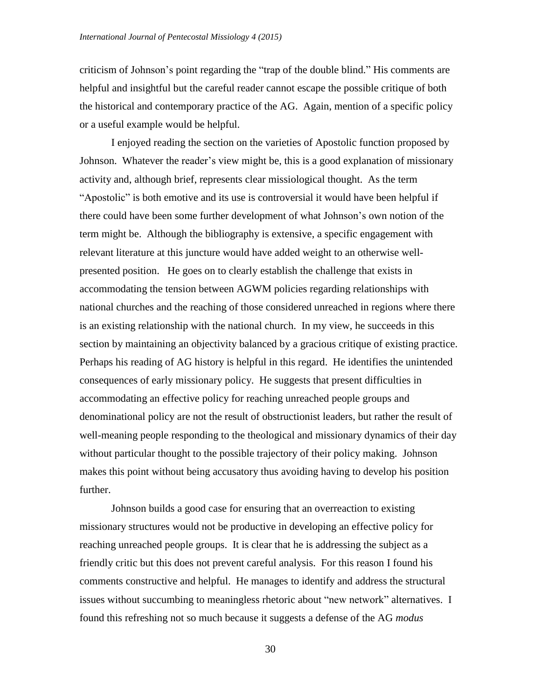criticism of Johnson's point regarding the "trap of the double blind." His comments are helpful and insightful but the careful reader cannot escape the possible critique of both the historical and contemporary practice of the AG. Again, mention of a specific policy or a useful example would be helpful.

I enjoyed reading the section on the varieties of Apostolic function proposed by Johnson. Whatever the reader's view might be, this is a good explanation of missionary activity and, although brief, represents clear missiological thought. As the term "Apostolic" is both emotive and its use is controversial it would have been helpful if there could have been some further development of what Johnson's own notion of the term might be. Although the bibliography is extensive, a specific engagement with relevant literature at this juncture would have added weight to an otherwise wellpresented position. He goes on to clearly establish the challenge that exists in accommodating the tension between AGWM policies regarding relationships with national churches and the reaching of those considered unreached in regions where there is an existing relationship with the national church. In my view, he succeeds in this section by maintaining an objectivity balanced by a gracious critique of existing practice. Perhaps his reading of AG history is helpful in this regard. He identifies the unintended consequences of early missionary policy. He suggests that present difficulties in accommodating an effective policy for reaching unreached people groups and denominational policy are not the result of obstructionist leaders, but rather the result of well-meaning people responding to the theological and missionary dynamics of their day without particular thought to the possible trajectory of their policy making. Johnson makes this point without being accusatory thus avoiding having to develop his position further.

Johnson builds a good case for ensuring that an overreaction to existing missionary structures would not be productive in developing an effective policy for reaching unreached people groups. It is clear that he is addressing the subject as a friendly critic but this does not prevent careful analysis. For this reason I found his comments constructive and helpful. He manages to identify and address the structural issues without succumbing to meaningless rhetoric about "new network" alternatives. I found this refreshing not so much because it suggests a defense of the AG *modus*

30